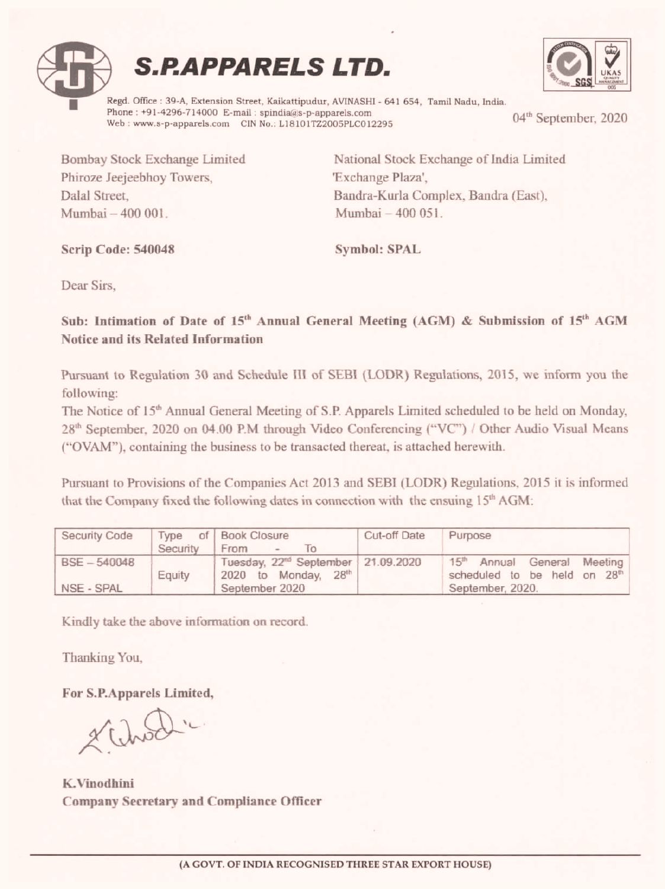





÷

The Notice of 15" Annual General Meeting of S.P. Apparels Limited scheduled to be held on Monday, 28<sup>th</sup> September, 2020 on 04.00 P.M through Video Conferencing ("VC") / Other Audio Visual Means ("OVAM"), containing the business to be transacted thereat, is attached herewith. **S. P. APPARELS I**<br>
Regd. Office : 39-A, Extension Street, Kaikattipudur, AN<br>
Phone : +91-4296-714000 E-mail : spindia@s-p-appare<br>
Web : www.s-p-apparels.com CIN No.: L18101722005<br>
Bombay Stock Exchange Limited<br>
Phiroze Je **S.P.APPARELS I**<br> **Engel.** Office : 39-A, Extension Street, Kaikattipudur, AN<br>
Phone : +91-4296-714000 E-mail : spindia@s-p-appare<br>
Web : www.s-p-apparels.com CIN No.: L18101722005<br>
Bombay Stock Exchange Limited N<br>
Phiroze

| Regd. Office: 39-A, Extension Street, Kaikattipudur, AVINASHI - 641 654, Tamil Nadu, India.<br>Phone: +91-4296-714000 E-mail: spindia@s-p-apparels.com<br>Web: www.s-p-apparels.com CIN No.: L18101TZ2005PLC012295<br>National Stock Exchange of India Limited<br>Bombay Stock Exchange Limited<br>Phiroze Jeejeebhoy Towers,<br>'Exchange Plaza',<br>Dalal Street,<br>Bandra-Kurla Complex, Bandra (East),<br>Mumbai - 400 051.<br>Mumbai - 400 001.<br>Symbol: SPAL<br>Scrip Code: 540048<br>Dear Sirs,<br>Sub: Intimation of Date of 15 <sup>th</sup> Annual General Meeting (AGM) & Submission of 15 <sup>th</sup> AGM<br>Notice and its Related Information<br>Pursuant to Regulation 30 and Schedule III of SEBI (LODR) Regulations, 2015, we inform you the<br>following:<br>The Notice of 15 <sup>th</sup> Annual General Meeting of S.P. Apparels Limited scheduled to be held on Monday,<br>28 <sup>th</sup> September, 2020 on 04.00 P.M through Video Conferencing ("VC") / Other Audio Visual Means<br>("OVAM"), containing the business to be transacted thereat, is attached herewith.<br>Pursuant to Provisions of the Companies Act 2013 and SEBI (LODR) Regulations, 2015 it is informed<br>that the Company fixed the following dates in connection with the ensuing 15 <sup>th</sup> AGM:<br>Security Code<br>Type<br><b>Book Closure</b><br>Cut-off Date<br>Purpose<br>of<br>Security<br>To<br>From<br>BSE-540048<br>Tuesday, 22 <sup>nd</sup> September<br>21.09.2020<br>15 <sup>th</sup><br>Annual<br>General<br>2020 to Monday,<br>28 <sup>th</sup><br>Equity<br>NSE - SPAL<br>September 2020<br>September, 2020.<br>Kindly take the above information on record.<br>Thanking You,<br>For S.P.Apparels Limited,<br>2 Chod.<br>K.Vinodhini<br>Company Secretary and Compliance Officer |  | <b>S.P.APPARELS LTD.</b> |                                                     |
|---------------------------------------------------------------------------------------------------------------------------------------------------------------------------------------------------------------------------------------------------------------------------------------------------------------------------------------------------------------------------------------------------------------------------------------------------------------------------------------------------------------------------------------------------------------------------------------------------------------------------------------------------------------------------------------------------------------------------------------------------------------------------------------------------------------------------------------------------------------------------------------------------------------------------------------------------------------------------------------------------------------------------------------------------------------------------------------------------------------------------------------------------------------------------------------------------------------------------------------------------------------------------------------------------------------------------------------------------------------------------------------------------------------------------------------------------------------------------------------------------------------------------------------------------------------------------------------------------------------------------------------------------------------------------------------------------------------------------------------------------------------------------------------------------------------|--|--------------------------|-----------------------------------------------------|
|                                                                                                                                                                                                                                                                                                                                                                                                                                                                                                                                                                                                                                                                                                                                                                                                                                                                                                                                                                                                                                                                                                                                                                                                                                                                                                                                                                                                                                                                                                                                                                                                                                                                                                                                                                                                               |  |                          | 04 <sup>th</sup> September, 2020                    |
|                                                                                                                                                                                                                                                                                                                                                                                                                                                                                                                                                                                                                                                                                                                                                                                                                                                                                                                                                                                                                                                                                                                                                                                                                                                                                                                                                                                                                                                                                                                                                                                                                                                                                                                                                                                                               |  |                          |                                                     |
|                                                                                                                                                                                                                                                                                                                                                                                                                                                                                                                                                                                                                                                                                                                                                                                                                                                                                                                                                                                                                                                                                                                                                                                                                                                                                                                                                                                                                                                                                                                                                                                                                                                                                                                                                                                                               |  |                          |                                                     |
|                                                                                                                                                                                                                                                                                                                                                                                                                                                                                                                                                                                                                                                                                                                                                                                                                                                                                                                                                                                                                                                                                                                                                                                                                                                                                                                                                                                                                                                                                                                                                                                                                                                                                                                                                                                                               |  |                          |                                                     |
|                                                                                                                                                                                                                                                                                                                                                                                                                                                                                                                                                                                                                                                                                                                                                                                                                                                                                                                                                                                                                                                                                                                                                                                                                                                                                                                                                                                                                                                                                                                                                                                                                                                                                                                                                                                                               |  |                          |                                                     |
|                                                                                                                                                                                                                                                                                                                                                                                                                                                                                                                                                                                                                                                                                                                                                                                                                                                                                                                                                                                                                                                                                                                                                                                                                                                                                                                                                                                                                                                                                                                                                                                                                                                                                                                                                                                                               |  |                          |                                                     |
|                                                                                                                                                                                                                                                                                                                                                                                                                                                                                                                                                                                                                                                                                                                                                                                                                                                                                                                                                                                                                                                                                                                                                                                                                                                                                                                                                                                                                                                                                                                                                                                                                                                                                                                                                                                                               |  |                          |                                                     |
|                                                                                                                                                                                                                                                                                                                                                                                                                                                                                                                                                                                                                                                                                                                                                                                                                                                                                                                                                                                                                                                                                                                                                                                                                                                                                                                                                                                                                                                                                                                                                                                                                                                                                                                                                                                                               |  |                          |                                                     |
|                                                                                                                                                                                                                                                                                                                                                                                                                                                                                                                                                                                                                                                                                                                                                                                                                                                                                                                                                                                                                                                                                                                                                                                                                                                                                                                                                                                                                                                                                                                                                                                                                                                                                                                                                                                                               |  |                          |                                                     |
|                                                                                                                                                                                                                                                                                                                                                                                                                                                                                                                                                                                                                                                                                                                                                                                                                                                                                                                                                                                                                                                                                                                                                                                                                                                                                                                                                                                                                                                                                                                                                                                                                                                                                                                                                                                                               |  |                          |                                                     |
|                                                                                                                                                                                                                                                                                                                                                                                                                                                                                                                                                                                                                                                                                                                                                                                                                                                                                                                                                                                                                                                                                                                                                                                                                                                                                                                                                                                                                                                                                                                                                                                                                                                                                                                                                                                                               |  |                          |                                                     |
|                                                                                                                                                                                                                                                                                                                                                                                                                                                                                                                                                                                                                                                                                                                                                                                                                                                                                                                                                                                                                                                                                                                                                                                                                                                                                                                                                                                                                                                                                                                                                                                                                                                                                                                                                                                                               |  |                          |                                                     |
|                                                                                                                                                                                                                                                                                                                                                                                                                                                                                                                                                                                                                                                                                                                                                                                                                                                                                                                                                                                                                                                                                                                                                                                                                                                                                                                                                                                                                                                                                                                                                                                                                                                                                                                                                                                                               |  |                          |                                                     |
|                                                                                                                                                                                                                                                                                                                                                                                                                                                                                                                                                                                                                                                                                                                                                                                                                                                                                                                                                                                                                                                                                                                                                                                                                                                                                                                                                                                                                                                                                                                                                                                                                                                                                                                                                                                                               |  |                          | Meeting<br>scheduled to be held on 28 <sup>th</sup> |

For S.P.Apparels Limited,<br> $\chi$ ,  $\bigcup_{n\geqslant 0}$ 

K.Vinodhini Company Secretary and Compliance Officer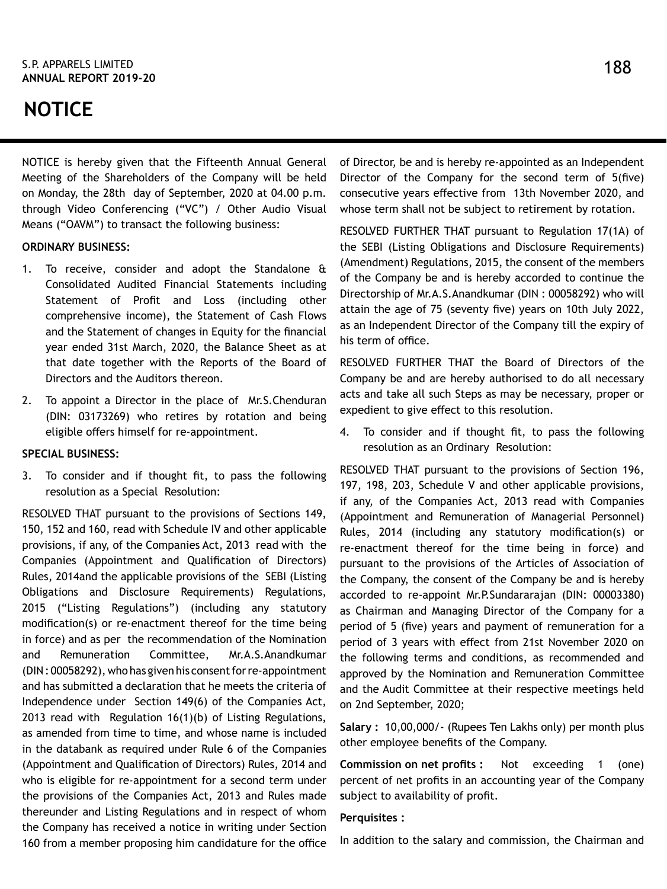# **NOTICE**

NOTICE is hereby given that the Fifteenth Annual General Meeting of the Shareholders of the Company will be held on Monday, the 28th day of September, 2020 at 04.00 p.m. through Video Conferencing ("VC") / Other Audio Visual Means ("OAVM") to transact the following business:

# **ORDINARY BUSINESS:**

- 1. To receive, consider and adopt the Standalone & Consolidated Audited Financial Statements including Statement of Profit and Loss (including other comprehensive income), the Statement of Cash Flows and the Statement of changes in Equity for the financial year ended 31st March, 2020, the Balance Sheet as at that date together with the Reports of the Board of Directors and the Auditors thereon.
- 2. To appoint a Director in the place of Mr.S.Chenduran (DIN: 03173269) who retires by rotation and being eligible offers himself for re-appointment.

## **SPECIAL BUSINESS:**

3. To consider and if thought fit, to pass the following resolution as a Special Resolution:

RESOLVED THAT pursuant to the provisions of Sections 149, 150, 152 and 160, read with Schedule IV and other applicable provisions, if any, of the Companies Act, 2013 read with the Companies (Appointment and Qualification of Directors) Rules, 2014and the applicable provisions of the SEBI (Listing Obligations and Disclosure Requirements) Regulations, 2015 ("Listing Regulations") (including any statutory modification(s) or re-enactment thereof for the time being in force) and as per the recommendation of the Nomination and Remuneration Committee, Mr.A.S.Anandkumar (DIN : 00058292), who has given his consent for re-appointment and has submitted a declaration that he meets the criteria of Independence under Section 149(6) of the Companies Act, 2013 read with Regulation 16(1)(b) of Listing Regulations, as amended from time to time, and whose name is included in the databank as required under Rule 6 of the Companies (Appointment and Qualification of Directors) Rules, 2014 and who is eligible for re-appointment for a second term under the provisions of the Companies Act, 2013 and Rules made thereunder and Listing Regulations and in respect of whom the Company has received a notice in writing under Section 160 from a member proposing him candidature for the office of Director, be and is hereby re-appointed as an Independent Director of the Company for the second term of 5(five) consecutive years effective from 13th November 2020, and whose term shall not be subject to retirement by rotation.

RESOLVED FURTHER THAT pursuant to Regulation 17(1A) of the SEBI (Listing Obligations and Disclosure Requirements) (Amendment) Regulations, 2015, the consent of the members of the Company be and is hereby accorded to continue the Directorship of Mr.A.S.Anandkumar (DIN : 00058292) who will attain the age of 75 (seventy five) years on 10th July 2022, as an Independent Director of the Company till the expiry of his term of office.

RESOLVED FURTHER THAT the Board of Directors of the Company be and are hereby authorised to do all necessary acts and take all such Steps as may be necessary, proper or expedient to give effect to this resolution.

4. To consider and if thought fit, to pass the following resolution as an Ordinary Resolution:

RESOLVED THAT pursuant to the provisions of Section 196, 197, 198, 203, Schedule V and other applicable provisions, if any, of the Companies Act, 2013 read with Companies (Appointment and Remuneration of Managerial Personnel) Rules, 2014 (including any statutory modification(s) or re-enactment thereof for the time being in force) and pursuant to the provisions of the Articles of Association of the Company, the consent of the Company be and is hereby accorded to re-appoint Mr.P.Sundararajan (DIN: 00003380) as Chairman and Managing Director of the Company for a period of 5 (five) years and payment of remuneration for a period of 3 years with effect from 21st November 2020 on the following terms and conditions, as recommended and approved by the Nomination and Remuneration Committee and the Audit Committee at their respective meetings held on 2nd September, 2020;

**Salary :** 10,00,000/- (Rupees Ten Lakhs only) per month plus other employee benefits of the Company.

**Commission on net profits :** Not exceeding 1 (one) percent of net profits in an accounting year of the Company **s**ubject to availability of profit.

## **Perquisites :**

In addition to the salary and commission, the Chairman and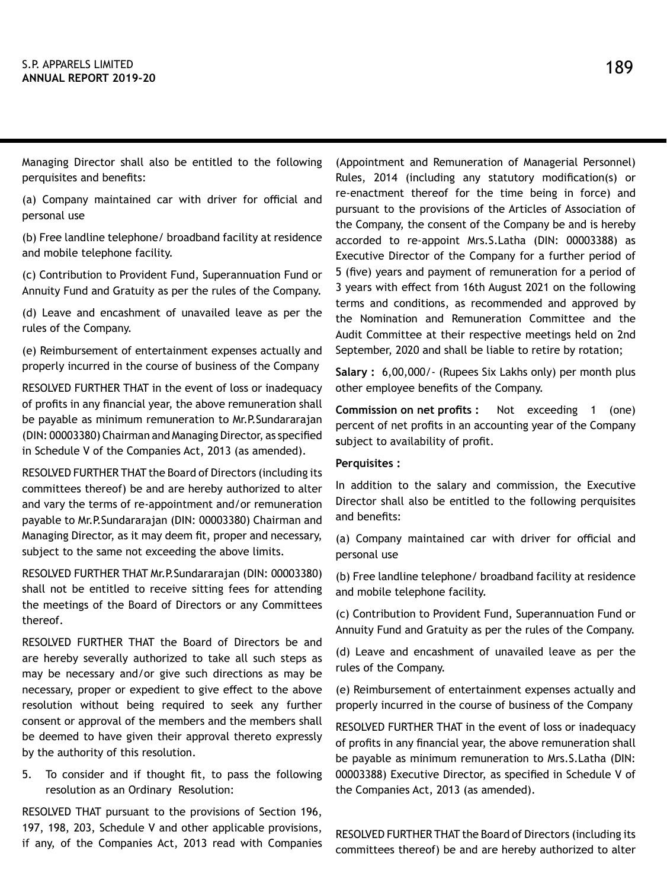Managing Director shall also be entitled to the following perquisites and benefits:

(a) Company maintained car with driver for official and personal use

(b) Free landline telephone/ broadband facility at residence and mobile telephone facility.

(c) Contribution to Provident Fund, Superannuation Fund or Annuity Fund and Gratuity as per the rules of the Company.

(d) Leave and encashment of unavailed leave as per the rules of the Company.

(e) Reimbursement of entertainment expenses actually and properly incurred in the course of business of the Company

RESOLVED FURTHER THAT in the event of loss or inadequacy of profits in any financial year, the above remuneration shall be payable as minimum remuneration to Mr.P.Sundararajan (DIN: 00003380) Chairman and Managing Director, as specified in Schedule V of the Companies Act, 2013 (as amended).

RESOLVED FURTHER THAT the Board of Directors (including its committees thereof) be and are hereby authorized to alter and vary the terms of re-appointment and/or remuneration payable to Mr.P.Sundararajan (DIN: 00003380) Chairman and Managing Director, as it may deem fit, proper and necessary, subject to the same not exceeding the above limits.

RESOLVED FURTHER THAT Mr.P.Sundararajan (DIN: 00003380) shall not be entitled to receive sitting fees for attending the meetings of the Board of Directors or any Committees thereof.

RESOLVED FURTHER THAT the Board of Directors be and are hereby severally authorized to take all such steps as may be necessary and/or give such directions as may be necessary, proper or expedient to give effect to the above resolution without being required to seek any further consent or approval of the members and the members shall be deemed to have given their approval thereto expressly by the authority of this resolution.

5. To consider and if thought fit, to pass the following resolution as an Ordinary Resolution:

RESOLVED THAT pursuant to the provisions of Section 196, 197, 198, 203, Schedule V and other applicable provisions, if any, of the Companies Act, 2013 read with Companies (Appointment and Remuneration of Managerial Personnel) Rules, 2014 (including any statutory modification(s) or re-enactment thereof for the time being in force) and pursuant to the provisions of the Articles of Association of the Company, the consent of the Company be and is hereby accorded to re-appoint Mrs.S.Latha (DIN: 00003388) as Executive Director of the Company for a further period of 5 (five) years and payment of remuneration for a period of 3 years with effect from 16th August 2021 on the following terms and conditions, as recommended and approved by the Nomination and Remuneration Committee and the Audit Committee at their respective meetings held on 2nd September, 2020 and shall be liable to retire by rotation;

**Salary :** 6,00,000/- (Rupees Six Lakhs only) per month plus other employee benefits of the Company.

**Commission on net profits :** Not exceeding 1 (one) percent of net profits in an accounting year of the Company **s**ubject to availability of profit.

## **Perquisites :**

In addition to the salary and commission, the Executive Director shall also be entitled to the following perquisites and benefits:

(a) Company maintained car with driver for official and personal use

(b) Free landline telephone/ broadband facility at residence and mobile telephone facility.

(c) Contribution to Provident Fund, Superannuation Fund or Annuity Fund and Gratuity as per the rules of the Company.

(d) Leave and encashment of unavailed leave as per the rules of the Company.

(e) Reimbursement of entertainment expenses actually and properly incurred in the course of business of the Company

RESOLVED FURTHER THAT in the event of loss or inadequacy of profits in any financial year, the above remuneration shall be payable as minimum remuneration to Mrs.S.Latha (DIN: 00003388) Executive Director, as specified in Schedule V of the Companies Act, 2013 (as amended).

RESOLVED FURTHER THAT the Board of Directors (including its committees thereof) be and are hereby authorized to alter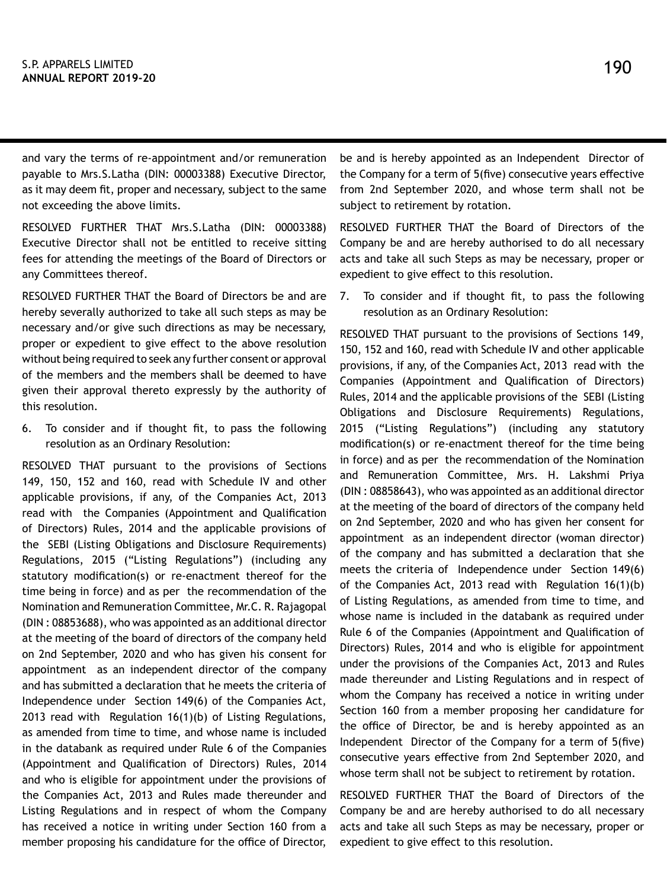and vary the terms of re-appointment and/or remuneration payable to Mrs.S.Latha (DIN: 00003388) Executive Director, as it may deem fit, proper and necessary, subject to the same not exceeding the above limits.

RESOLVED FURTHER THAT Mrs.S.Latha (DIN: 00003388) Executive Director shall not be entitled to receive sitting fees for attending the meetings of the Board of Directors or any Committees thereof.

RESOLVED FURTHER THAT the Board of Directors be and are hereby severally authorized to take all such steps as may be necessary and/or give such directions as may be necessary, proper or expedient to give effect to the above resolution without being required to seek any further consent or approval of the members and the members shall be deemed to have given their approval thereto expressly by the authority of this resolution.

6. To consider and if thought fit, to pass the following resolution as an Ordinary Resolution:

RESOLVED THAT pursuant to the provisions of Sections 149, 150, 152 and 160, read with Schedule IV and other applicable provisions, if any, of the Companies Act, 2013 read with the Companies (Appointment and Qualification of Directors) Rules, 2014 and the applicable provisions of the SEBI (Listing Obligations and Disclosure Requirements) Regulations, 2015 ("Listing Regulations") (including any statutory modification(s) or re-enactment thereof for the time being in force) and as per the recommendation of the Nomination and Remuneration Committee, Mr.C. R. Rajagopal (DIN : 08853688), who was appointed as an additional director at the meeting of the board of directors of the company held on 2nd September, 2020 and who has given his consent for appointment as an independent director of the company and has submitted a declaration that he meets the criteria of Independence under Section 149(6) of the Companies Act, 2013 read with Regulation 16(1)(b) of Listing Regulations, as amended from time to time, and whose name is included in the databank as required under Rule 6 of the Companies (Appointment and Qualification of Directors) Rules, 2014 and who is eligible for appointment under the provisions of the Companies Act, 2013 and Rules made thereunder and Listing Regulations and in respect of whom the Company has received a notice in writing under Section 160 from a member proposing his candidature for the office of Director,

be and is hereby appointed as an Independent Director of the Company for a term of 5(five) consecutive years effective from 2nd September 2020, and whose term shall not be subject to retirement by rotation.

RESOLVED FURTHER THAT the Board of Directors of the Company be and are hereby authorised to do all necessary acts and take all such Steps as may be necessary, proper or expedient to give effect to this resolution.

7. To consider and if thought fit, to pass the following resolution as an Ordinary Resolution:

RESOLVED THAT pursuant to the provisions of Sections 149, 150, 152 and 160, read with Schedule IV and other applicable provisions, if any, of the Companies Act, 2013 read with the Companies (Appointment and Qualification of Directors) Rules, 2014 and the applicable provisions of the SEBI (Listing Obligations and Disclosure Requirements) Regulations, 2015 ("Listing Regulations") (including any statutory modification(s) or re-enactment thereof for the time being in force) and as per the recommendation of the Nomination and Remuneration Committee, Mrs. H. Lakshmi Priya (DIN : 08858643), who was appointed as an additional director at the meeting of the board of directors of the company held on 2nd September, 2020 and who has given her consent for appointment as an independent director (woman director) of the company and has submitted a declaration that she meets the criteria of Independence under Section 149(6) of the Companies Act, 2013 read with Regulation 16(1)(b) of Listing Regulations, as amended from time to time, and whose name is included in the databank as required under Rule 6 of the Companies (Appointment and Qualification of Directors) Rules, 2014 and who is eligible for appointment under the provisions of the Companies Act, 2013 and Rules made thereunder and Listing Regulations and in respect of whom the Company has received a notice in writing under Section 160 from a member proposing her candidature for the office of Director, be and is hereby appointed as an Independent Director of the Company for a term of 5(five) consecutive years effective from 2nd September 2020, and whose term shall not be subject to retirement by rotation.

RESOLVED FURTHER THAT the Board of Directors of the Company be and are hereby authorised to do all necessary acts and take all such Steps as may be necessary, proper or expedient to give effect to this resolution.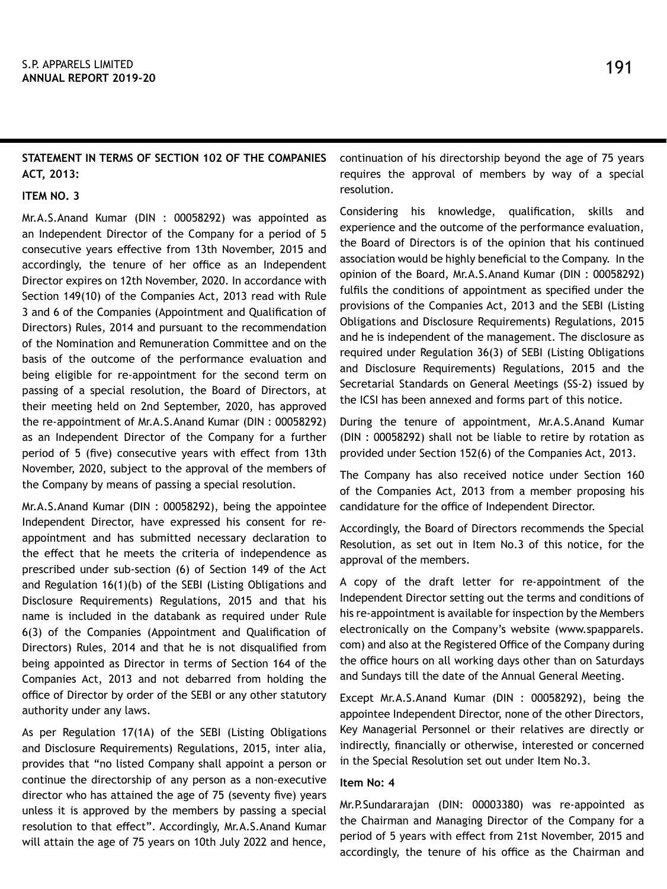# **STATEMENT IN TERMS OF SECTION 102 OF THE COMPANIES ACT, 2013:**

### **ITEM NO. 3**

Mr.A.S.Anand Kumar (DIN : 00058292) was appointed as an Independent Director of the Company for a period of 5 consecutive years effective from 13th November, 2015 and accordingly, the tenure of her office as an Independent Director expires on 12th November, 2020. In accordance with Section 149(10) of the Companies Act, 2013 read with Rule 3 and 6 of the Companies (Appointment and Qualification of Directors) Rules, 2014 and pursuant to the recommendation of the Nomination and Remuneration Committee and on the basis of the outcome of the performance evaluation and being eligible for re-appointment for the second term on passing of a special resolution, the Board of Directors, at their meeting held on 2nd September, 2020, has approved the re-appointment of Mr.A.S.Anand Kumar (DIN : 00058292) as an Independent Director of the Company for a further period of 5 (five) consecutive years with effect from 13th November, 2020, subject to the approval of the members of the Company by means of passing a special resolution.

Mr.A.S.Anand Kumar (DIN : 00058292), being the appointee Independent Director, have expressed his consent for reappointment and has submitted necessary declaration to the effect that he meets the criteria of independence as prescribed under sub-section (6) of Section 149 of the Act and Regulation 16(1)(b) of the SEBI (Listing Obligations and Disclosure Requirements) Regulations, 2015 and that his name is included in the databank as required under Rule 6(3) of the Companies (Appointment and Qualification of Directors) Rules, 2014 and that he is not disqualified from being appointed as Director in terms of Section 164 of the Companies Act, 2013 and not debarred from holding the office of Director by order of the SEBI or any other statutory authority under any laws.

As per Regulation 17(1A) of the SEBI (Listing Obligations and Disclosure Requirements) Regulations, 2015, inter alia, provides that "no listed Company shall appoint a person or continue the directorship of any person as a non-executive director who has attained the age of 75 (seventy five) years unless it is approved by the members by passing a special resolution to that effect". Accordingly, Mr.A.S.Anand Kumar will attain the age of 75 years on 10th July 2022 and hence,

continuation of his directorship beyond the age of 75 years requires the approval of members by way of a special resolution.

Considering his knowledge, qualification, skills and experience and the outcome of the performance evaluation, the Board of Directors is of the opinion that his continued association would be highly beneficial to the Company. In the opinion of the Board, Mr.A.S.Anand Kumar (DIN : 00058292) fulfils the conditions of appointment as specified under the provisions of the Companies Act, 2013 and the SEBI (Listing Obligations and Disclosure Requirements) Regulations, 2015 and he is independent of the management. The disclosure as required under Regulation 36(3) of SEBI (Listing Obligations and Disclosure Requirements) Regulations, 2015 and the Secretarial Standards on General Meetings (SS-2) issued by the ICSI has been annexed and forms part of this notice.

During the tenure of appointment, Mr.A.S.Anand Kumar (DIN : 00058292) shall not be liable to retire by rotation as provided under Section 152(6) of the Companies Act, 2013.

The Company has also received notice under Section 160 of the Companies Act, 2013 from a member proposing his candidature for the office of Independent Director.

Accordingly, the Board of Directors recommends the Special Resolution, as set out in Item No.3 of this notice, for the approval of the members.

A copy of the draft letter for re-appointment of the Independent Director setting out the terms and conditions of his re-appointment is available for inspection by the Members electronically on the Company's website (www.spapparels. com) and also at the Registered Office of the Company during the office hours on all working days other than on Saturdays and Sundays till the date of the Annual General Meeting.

Except Mr.A.S.Anand Kumar (DIN : 00058292), being the appointee Independent Director, none of the other Directors, Key Managerial Personnel or their relatives are directly or indirectly, financially or otherwise, interested or concerned in the Special Resolution set out under Item No.3.

## **Item No: 4**

Mr.P.Sundararajan (DIN: 00003380) was re-appointed as the Chairman and Managing Director of the Company for a period of 5 years with effect from 21st November, 2015 and accordingly, the tenure of his office as the Chairman and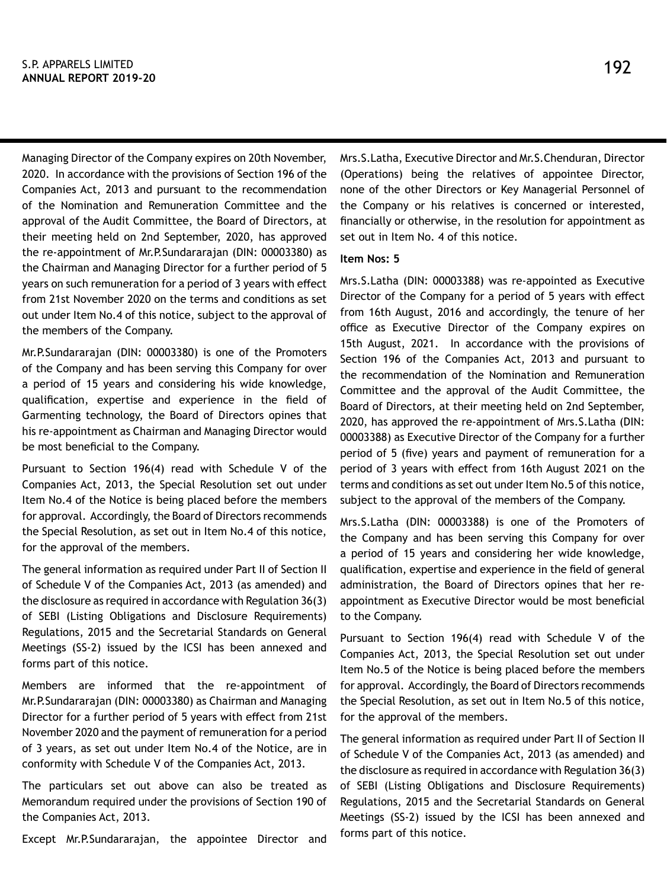Managing Director of the Company expires on 20th November, 2020. In accordance with the provisions of Section 196 of the Companies Act, 2013 and pursuant to the recommendation of the Nomination and Remuneration Committee and the approval of the Audit Committee, the Board of Directors, at their meeting held on 2nd September, 2020, has approved the re-appointment of Mr.P.Sundararajan (DIN: 00003380) as the Chairman and Managing Director for a further period of 5 years on such remuneration for a period of 3 years with effect from 21st November 2020 on the terms and conditions as set out under Item No.4 of this notice, subject to the approval of the members of the Company.

Mr.P.Sundararajan (DIN: 00003380) is one of the Promoters of the Company and has been serving this Company for over a period of 15 years and considering his wide knowledge, qualification, expertise and experience in the field of Garmenting technology, the Board of Directors opines that his re-appointment as Chairman and Managing Director would be most beneficial to the Company.

Pursuant to Section 196(4) read with Schedule V of the Companies Act, 2013, the Special Resolution set out under Item No.4 of the Notice is being placed before the members for approval. Accordingly, the Board of Directors recommends the Special Resolution, as set out in Item No.4 of this notice, for the approval of the members.

The general information as required under Part II of Section II of Schedule V of the Companies Act, 2013 (as amended) and the disclosure as required in accordance with Regulation 36(3) of SEBI (Listing Obligations and Disclosure Requirements) Regulations, 2015 and the Secretarial Standards on General Meetings (SS-2) issued by the ICSI has been annexed and forms part of this notice.

Members are informed that the re-appointment of Mr.P.Sundararajan (DIN: 00003380) as Chairman and Managing Director for a further period of 5 years with effect from 21st November 2020 and the payment of remuneration for a period of 3 years, as set out under Item No.4 of the Notice, are in conformity with Schedule V of the Companies Act, 2013.

The particulars set out above can also be treated as Memorandum required under the provisions of Section 190 of the Companies Act, 2013.

Except Mr.P.Sundararajan, the appointee Director and

Mrs.S.Latha, Executive Director and Mr.S.Chenduran, Director (Operations) being the relatives of appointee Director, none of the other Directors or Key Managerial Personnel of the Company or his relatives is concerned or interested, financially or otherwise, in the resolution for appointment as set out in Item No. 4 of this notice.

#### **Item Nos: 5**

Mrs.S.Latha (DIN: 00003388) was re-appointed as Executive Director of the Company for a period of 5 years with effect from 16th August, 2016 and accordingly, the tenure of her office as Executive Director of the Company expires on 15th August, 2021. In accordance with the provisions of Section 196 of the Companies Act, 2013 and pursuant to the recommendation of the Nomination and Remuneration Committee and the approval of the Audit Committee, the Board of Directors, at their meeting held on 2nd September, 2020, has approved the re-appointment of Mrs.S.Latha (DIN: 00003388) as Executive Director of the Company for a further period of 5 (five) years and payment of remuneration for a period of 3 years with effect from 16th August 2021 on the terms and conditions as set out under Item No.5 of this notice, subject to the approval of the members of the Company.

Mrs.S.Latha (DIN: 00003388) is one of the Promoters of the Company and has been serving this Company for over a period of 15 years and considering her wide knowledge, qualification, expertise and experience in the field of general administration, the Board of Directors opines that her reappointment as Executive Director would be most beneficial to the Company.

Pursuant to Section 196(4) read with Schedule V of the Companies Act, 2013, the Special Resolution set out under Item No.5 of the Notice is being placed before the members for approval. Accordingly, the Board of Directors recommends the Special Resolution, as set out in Item No.5 of this notice, for the approval of the members.

The general information as required under Part II of Section II of Schedule V of the Companies Act, 2013 (as amended) and the disclosure as required in accordance with Regulation 36(3) of SEBI (Listing Obligations and Disclosure Requirements) Regulations, 2015 and the Secretarial Standards on General Meetings (SS-2) issued by the ICSI has been annexed and forms part of this notice.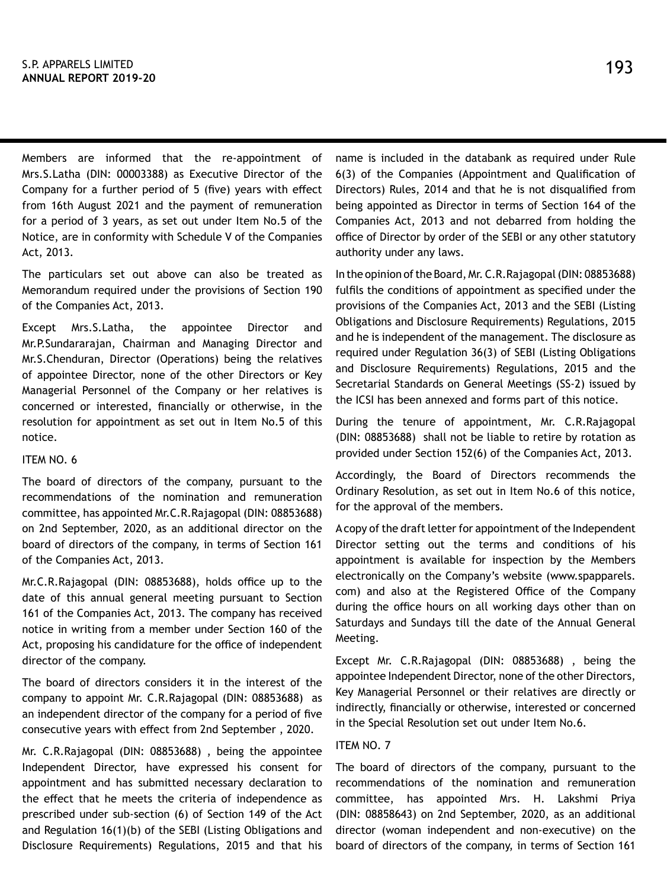Members are informed that the re-appointment of Mrs.S.Latha (DIN: 00003388) as Executive Director of the Company for a further period of 5 (five) years with effect from 16th August 2021 and the payment of remuneration for a period of 3 years, as set out under Item No.5 of the Notice, are in conformity with Schedule V of the Companies Act, 2013.

The particulars set out above can also be treated as Memorandum required under the provisions of Section 190 of the Companies Act, 2013.

Except Mrs.S.Latha, the appointee Director and Mr.P.Sundararajan, Chairman and Managing Director and Mr.S.Chenduran, Director (Operations) being the relatives of appointee Director, none of the other Directors or Key Managerial Personnel of the Company or her relatives is concerned or interested, financially or otherwise, in the resolution for appointment as set out in Item No.5 of this notice.

#### ITEM NO. 6

The board of directors of the company, pursuant to the recommendations of the nomination and remuneration committee, has appointed Mr.C.R.Rajagopal (DIN: 08853688) on 2nd September, 2020, as an additional director on the board of directors of the company, in terms of Section 161 of the Companies Act, 2013.

Mr.C.R.Rajagopal (DIN: 08853688), holds office up to the date of this annual general meeting pursuant to Section 161 of the Companies Act, 2013. The company has received notice in writing from a member under Section 160 of the Act, proposing his candidature for the office of independent director of the company.

The board of directors considers it in the interest of the company to appoint Mr. C.R.Rajagopal (DIN: 08853688) as an independent director of the company for a period of five consecutive years with effect from 2nd September , 2020.

Mr. C.R.Rajagopal (DIN: 08853688) , being the appointee Independent Director, have expressed his consent for appointment and has submitted necessary declaration to the effect that he meets the criteria of independence as prescribed under sub-section (6) of Section 149 of the Act and Regulation 16(1)(b) of the SEBI (Listing Obligations and Disclosure Requirements) Regulations, 2015 and that his

name is included in the databank as required under Rule 6(3) of the Companies (Appointment and Qualification of Directors) Rules, 2014 and that he is not disqualified from being appointed as Director in terms of Section 164 of the Companies Act, 2013 and not debarred from holding the office of Director by order of the SEBI or any other statutory authority under any laws.

In the opinion of the Board, Mr. C.R.Rajagopal (DIN: 08853688) fulfils the conditions of appointment as specified under the provisions of the Companies Act, 2013 and the SEBI (Listing Obligations and Disclosure Requirements) Regulations, 2015 and he is independent of the management. The disclosure as required under Regulation 36(3) of SEBI (Listing Obligations and Disclosure Requirements) Regulations, 2015 and the Secretarial Standards on General Meetings (SS-2) issued by the ICSI has been annexed and forms part of this notice.

During the tenure of appointment, Mr. C.R.Rajagopal (DIN: 08853688) shall not be liable to retire by rotation as provided under Section 152(6) of the Companies Act, 2013.

Accordingly, the Board of Directors recommends the Ordinary Resolution, as set out in Item No.6 of this notice, for the approval of the members.

A copy of the draft letter for appointment of the Independent Director setting out the terms and conditions of his appointment is available for inspection by the Members electronically on the Company's website (www.spapparels. com) and also at the Registered Office of the Company during the office hours on all working days other than on Saturdays and Sundays till the date of the Annual General Meeting.

Except Mr. C.R.Rajagopal (DIN: 08853688) , being the appointee Independent Director, none of the other Directors, Key Managerial Personnel or their relatives are directly or indirectly, financially or otherwise, interested or concerned in the Special Resolution set out under Item No.6.

# ITEM NO. 7

The board of directors of the company, pursuant to the recommendations of the nomination and remuneration committee, has appointed Mrs. H. Lakshmi Priya (DIN: 08858643) on 2nd September, 2020, as an additional director (woman independent and non-executive) on the board of directors of the company, in terms of Section 161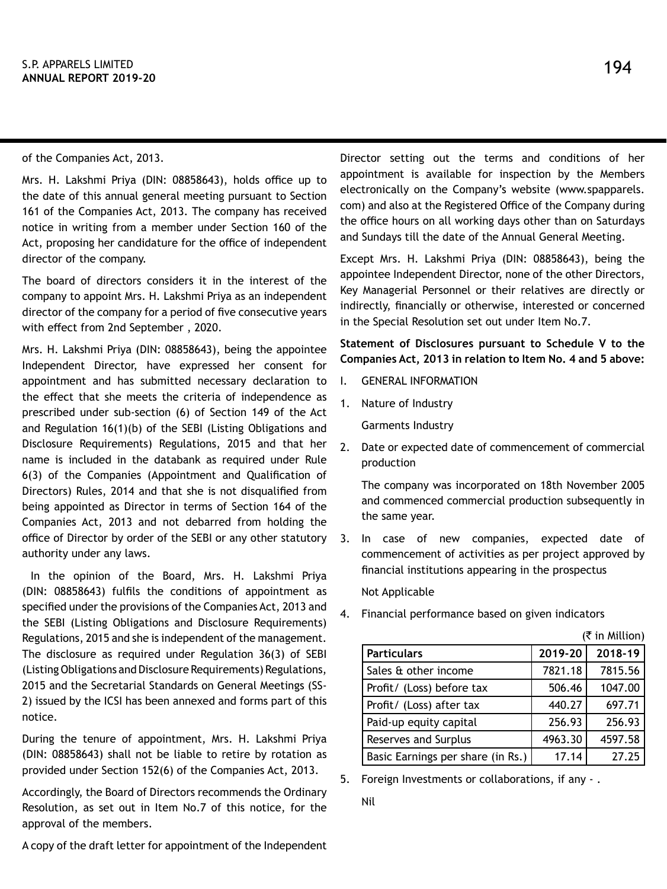of the Companies Act, 2013.

Mrs. H. Lakshmi Priya (DIN: 08858643), holds office up to the date of this annual general meeting pursuant to Section 161 of the Companies Act, 2013. The company has received notice in writing from a member under Section 160 of the Act, proposing her candidature for the office of independent director of the company.

The board of directors considers it in the interest of the company to appoint Mrs. H. Lakshmi Priya as an independent director of the company for a period of five consecutive years with effect from 2nd September , 2020.

Mrs. H. Lakshmi Priya (DIN: 08858643), being the appointee Independent Director, have expressed her consent for appointment and has submitted necessary declaration to the effect that she meets the criteria of independence as prescribed under sub-section (6) of Section 149 of the Act and Regulation 16(1)(b) of the SEBI (Listing Obligations and Disclosure Requirements) Regulations, 2015 and that her name is included in the databank as required under Rule 6(3) of the Companies (Appointment and Qualification of Directors) Rules, 2014 and that she is not disqualified from being appointed as Director in terms of Section 164 of the Companies Act, 2013 and not debarred from holding the office of Director by order of the SEBI or any other statutory authority under any laws.

 In the opinion of the Board, Mrs. H. Lakshmi Priya (DIN: 08858643) fulfils the conditions of appointment as specified under the provisions of the Companies Act, 2013 and the SEBI (Listing Obligations and Disclosure Requirements) Regulations, 2015 and she is independent of the management. The disclosure as required under Regulation 36(3) of SEBI (Listing Obligations and Disclosure Requirements) Regulations, 2015 and the Secretarial Standards on General Meetings (SS-2) issued by the ICSI has been annexed and forms part of this notice.

During the tenure of appointment, Mrs. H. Lakshmi Priya (DIN: 08858643) shall not be liable to retire by rotation as provided under Section 152(6) of the Companies Act, 2013.

Accordingly, the Board of Directors recommends the Ordinary Resolution, as set out in Item No.7 of this notice, for the approval of the members.

A copy of the draft letter for appointment of the Independent

Director setting out the terms and conditions of her appointment is available for inspection by the Members electronically on the Company's website (www.spapparels. com) and also at the Registered Office of the Company during the office hours on all working days other than on Saturdays and Sundays till the date of the Annual General Meeting.

Except Mrs. H. Lakshmi Priya (DIN: 08858643), being the appointee Independent Director, none of the other Directors, Key Managerial Personnel or their relatives are directly or indirectly, financially or otherwise, interested or concerned in the Special Resolution set out under Item No.7.

**Statement of Disclosures pursuant to Schedule V to the Companies Act, 2013 in relation to Item No. 4 and 5 above:**

- I. GENERAL INFORMATION
- 1. Nature of Industry

Garments Industry

2. Date or expected date of commencement of commercial production

The company was incorporated on 18th November 2005 and commenced commercial production subsequently in the same year.

3. In case of new companies, expected date of commencement of activities as per project approved by financial institutions appearing in the prospectus

Not Applicable

4. Financial performance based on given indicators

|                                   |         | (₹ in Million) |
|-----------------------------------|---------|----------------|
| <b>Particulars</b>                | 2019-20 | 2018-19        |
| Sales & other income              | 7821.18 | 7815.56        |
| Profit/ (Loss) before tax         | 506.46  | 1047.00        |
| Profit/ (Loss) after tax          | 440.27  | 697.71         |
| Paid-up equity capital            | 256.93  | 256.93         |
| <b>Reserves and Surplus</b>       | 4963.30 | 4597.58        |
| Basic Earnings per share (in Rs.) | 17.14   | 27.25          |

5. Foreign Investments or collaborations, if any - .

Nil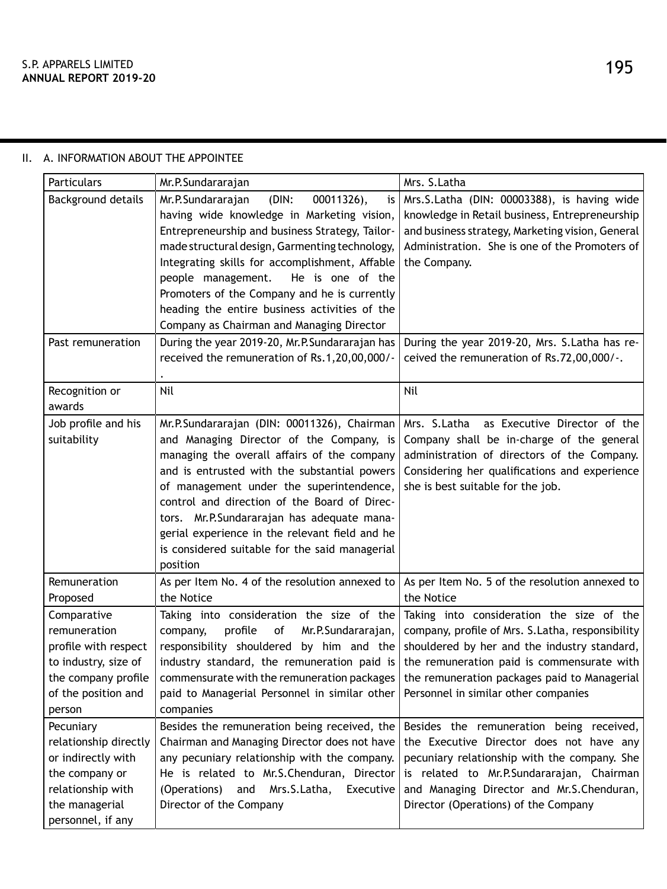| Particulars                                                                                                                            | Mr.P.Sundararajan                                                                                                                                                                                                                                                                                                                                                                                                                                                                             | Mrs. S. Latha                                                                                                                                                                                                                                                                       |
|----------------------------------------------------------------------------------------------------------------------------------------|-----------------------------------------------------------------------------------------------------------------------------------------------------------------------------------------------------------------------------------------------------------------------------------------------------------------------------------------------------------------------------------------------------------------------------------------------------------------------------------------------|-------------------------------------------------------------------------------------------------------------------------------------------------------------------------------------------------------------------------------------------------------------------------------------|
| Background details<br>Past remuneration                                                                                                | Mr.P.Sundararajan<br>00011326),<br>(DIN:<br>is<br>having wide knowledge in Marketing vision,<br>Entrepreneurship and business Strategy, Tailor-<br>made structural design, Garmenting technology,<br>Integrating skills for accomplishment, Affable<br>people management.<br>He is one of the<br>Promoters of the Company and he is currently<br>heading the entire business activities of the<br>Company as Chairman and Managing Director<br>During the year 2019-20, Mr.P.Sundararajan has | Mrs.S.Latha (DIN: 00003388), is having wide<br>knowledge in Retail business, Entrepreneurship<br>and business strategy, Marketing vision, General<br>Administration. She is one of the Promoters of<br>the Company.<br>During the year 2019-20, Mrs. S.Latha has re-                |
|                                                                                                                                        | received the remuneration of Rs.1,20,00,000/-                                                                                                                                                                                                                                                                                                                                                                                                                                                 | ceived the remuneration of Rs.72,00,000/-.                                                                                                                                                                                                                                          |
| Recognition or<br>awards                                                                                                               | Nil                                                                                                                                                                                                                                                                                                                                                                                                                                                                                           | Nil                                                                                                                                                                                                                                                                                 |
| Job profile and his<br>suitability                                                                                                     | Mr.P.Sundararajan (DIN: 00011326), Chairman<br>and Managing Director of the Company, is<br>managing the overall affairs of the company<br>and is entrusted with the substantial powers<br>of management under the superintendence,<br>control and direction of the Board of Direc-<br>tors. Mr.P.Sundararajan has adequate mana-<br>gerial experience in the relevant field and he<br>is considered suitable for the said managerial<br>position                                              | Mrs. S.Latha<br>as Executive Director of the<br>Company shall be in-charge of the general<br>administration of directors of the Company.<br>Considering her qualifications and experience<br>she is best suitable for the job.                                                      |
| Remuneration<br>Proposed                                                                                                               | As per Item No. 4 of the resolution annexed to<br>the Notice                                                                                                                                                                                                                                                                                                                                                                                                                                  | As per Item No. 5 of the resolution annexed to<br>the Notice                                                                                                                                                                                                                        |
| Comparative<br>remuneration<br>profile with respect<br>to industry, size of<br>the company profile<br>of the position and<br>person    | Taking into consideration the size of the<br>profile<br>company,<br>оf<br>Mr.P.Sundararajan,<br>responsibility shouldered by him and the<br>industry standard, the remuneration paid is<br>commensurate with the remuneration packages<br>paid to Managerial Personnel in similar other<br>companies                                                                                                                                                                                          | Taking into consideration the size of the<br>company, profile of Mrs. S.Latha, responsibility<br>shouldered by her and the industry standard,<br>the remuneration paid is commensurate with<br>the remuneration packages paid to Managerial<br>Personnel in similar other companies |
| Pecuniary<br>relationship directly<br>or indirectly with<br>the company or<br>relationship with<br>the managerial<br>personnel, if any | Besides the remuneration being received, the<br>Chairman and Managing Director does not have<br>any pecuniary relationship with the company.<br>He is related to Mr.S.Chenduran, Director<br>(Operations)<br>and<br>Mrs.S.Latha,<br>Executive<br>Director of the Company                                                                                                                                                                                                                      | Besides the remuneration being received,<br>the Executive Director does not have any<br>pecuniary relationship with the company. She<br>is related to Mr.P.Sundararajan, Chairman<br>and Managing Director and Mr.S.Chenduran,<br>Director (Operations) of the Company              |

# II. A. INFORMATION ABOUT THE APPOINTEE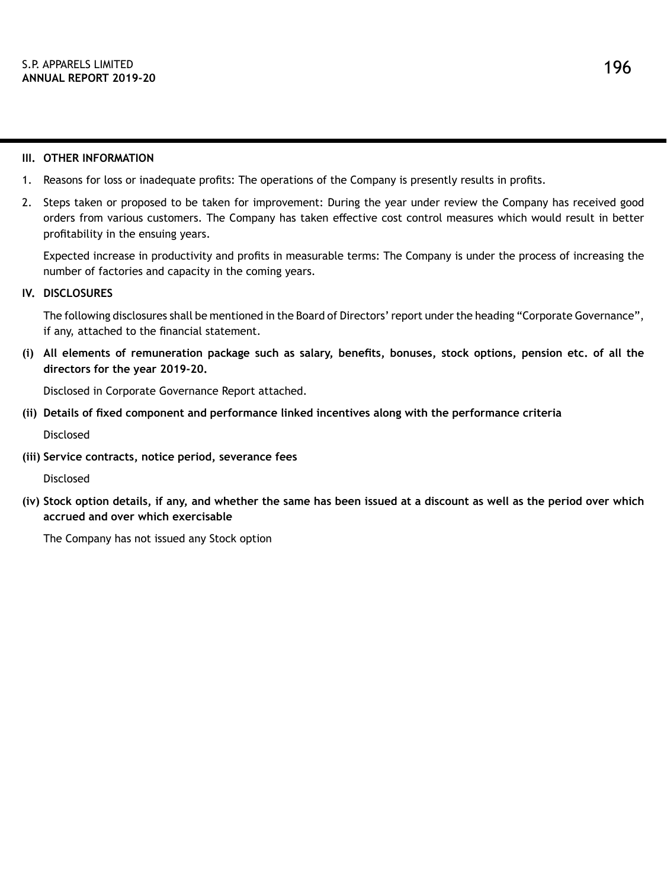## **III. OTHER INFORMATION**

- 1. Reasons for loss or inadequate profits: The operations of the Company is presently results in profits.
- 2. Steps taken or proposed to be taken for improvement: During the year under review the Company has received good orders from various customers. The Company has taken effective cost control measures which would result in better profitability in the ensuing years.

Expected increase in productivity and profits in measurable terms: The Company is under the process of increasing the number of factories and capacity in the coming years.

# **IV. DISCLOSURES**

The following disclosures shall be mentioned in the Board of Directors' report under the heading "Corporate Governance", if any, attached to the financial statement.

**(i) All elements of remuneration package such as salary, benefits, bonuses, stock options, pension etc. of all the directors for the year 2019-20.**

Disclosed in Corporate Governance Report attached.

**(ii) Details of fixed component and performance linked incentives along with the performance criteria**

Disclosed

**(iii) Service contracts, notice period, severance fees**

Disclosed

**(iv) Stock option details, if any, and whether the same has been issued at a discount as well as the period over which accrued and over which exercisable**

The Company has not issued any Stock option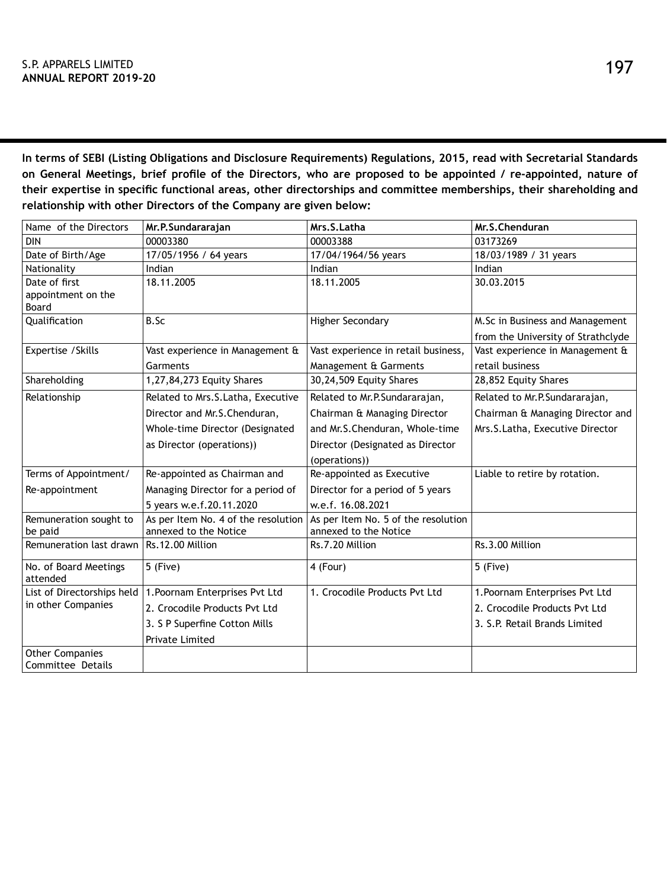**In terms of SEBI (Listing Obligations and Disclosure Requirements) Regulations, 2015, read with Secretarial Standards on General Meetings, brief profile of the Directors, who are proposed to be appointed / re-appointed, nature of their expertise in specific functional areas, other directorships and committee memberships, their shareholding and relationship with other Directors of the Company are given below:**

| Name of the Directors                       | Mr.P.Sundararajan                   | Mrs.S.Latha                         | Mr.S.Chenduran                     |
|---------------------------------------------|-------------------------------------|-------------------------------------|------------------------------------|
| <b>DIN</b>                                  | 00003380                            | 00003388                            | 03173269                           |
| Date of Birth/Age                           | 17/05/1956 / 64 years               | 17/04/1964/56 years                 | 18/03/1989 / 31 years              |
| Nationality                                 | Indian                              | Indian                              | Indian                             |
| Date of first                               | 18.11.2005                          | 18.11.2005                          | 30.03.2015                         |
| appointment on the<br>Board                 |                                     |                                     |                                    |
| Qualification                               | B.Sc                                | <b>Higher Secondary</b>             | M.Sc in Business and Management    |
|                                             |                                     |                                     | from the University of Strathclyde |
| Expertise / Skills                          | Vast experience in Management &     | Vast experience in retail business, | Vast experience in Management &    |
|                                             | Garments                            | Management & Garments               | retail business                    |
| Shareholding                                | 1,27,84,273 Equity Shares           | 30,24,509 Equity Shares             | 28,852 Equity Shares               |
| Relationship                                | Related to Mrs.S.Latha, Executive   | Related to Mr.P.Sundararajan,       | Related to Mr.P.Sundararajan,      |
|                                             | Director and Mr.S.Chenduran,        | Chairman & Managing Director        | Chairman & Managing Director and   |
|                                             | Whole-time Director (Designated     | and Mr.S.Chenduran, Whole-time      | Mrs.S.Latha, Executive Director    |
|                                             | as Director (operations))           | Director (Designated as Director    |                                    |
|                                             |                                     | (operations))                       |                                    |
| Terms of Appointment/                       | Re-appointed as Chairman and        | Re-appointed as Executive           | Liable to retire by rotation.      |
| Re-appointment                              | Managing Director for a period of   | Director for a period of 5 years    |                                    |
|                                             | 5 years w.e.f.20.11.2020            | w.e.f. 16.08.2021                   |                                    |
| Remuneration sought to                      | As per Item No. 4 of the resolution | As per Item No. 5 of the resolution |                                    |
| be paid                                     | annexed to the Notice               | annexed to the Notice               |                                    |
| Remuneration last drawn                     | Rs.12.00 Million                    | Rs.7.20 Million                     | Rs.3.00 Million                    |
| No. of Board Meetings<br>attended           | 5 (Five)                            | 4 (Four)                            | 5 (Five)                           |
| List of Directorships held                  | 1. Poornam Enterprises Pvt Ltd      | 1. Crocodile Products Pvt Ltd       | 1. Poornam Enterprises Pvt Ltd     |
| in other Companies                          | 2. Crocodile Products Pvt Ltd       |                                     | 2. Crocodile Products Pvt Ltd      |
|                                             | 3. S P Superfine Cotton Mills       |                                     | 3. S.P. Retail Brands Limited      |
|                                             | Private Limited                     |                                     |                                    |
| <b>Other Companies</b><br>Committee Details |                                     |                                     |                                    |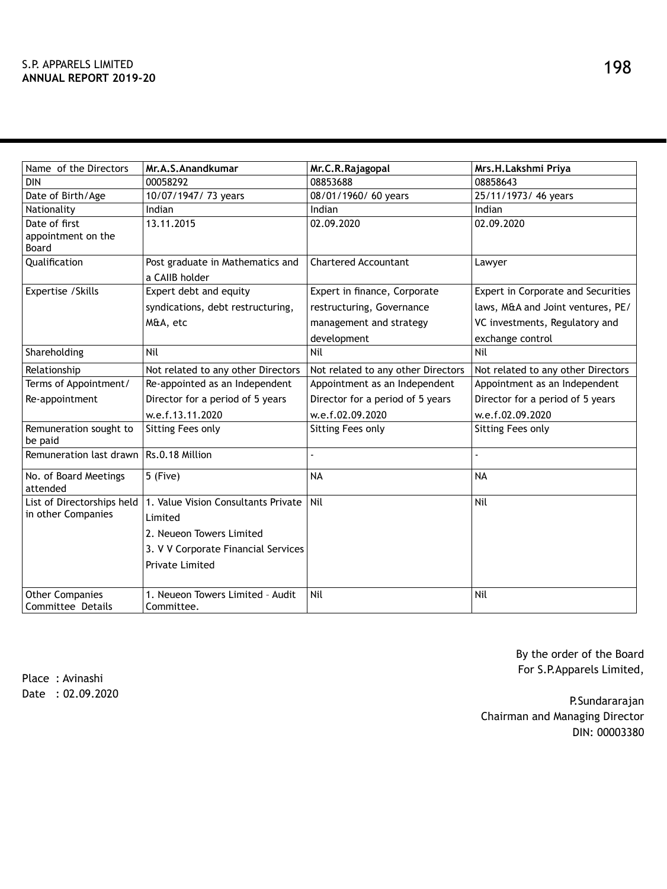| Name of the Directors             | Mr.A.S.Anandkumar                   | Mr.C.R.Rajagopal                   | Mrs.H.Lakshmi Priya                |
|-----------------------------------|-------------------------------------|------------------------------------|------------------------------------|
| <b>DIN</b>                        | 00058292                            | 08853688                           | 08858643                           |
| Date of Birth/Age                 | 10/07/1947/ 73 years                | 08/01/1960/ 60 years               | 25/11/1973/ 46 years               |
| Nationality                       | Indian                              | Indian                             | Indian                             |
| Date of first                     | 13.11.2015                          | 02.09.2020                         | 02.09.2020                         |
| appointment on the                |                                     |                                    |                                    |
| Board                             |                                     |                                    |                                    |
| Qualification                     | Post graduate in Mathematics and    | <b>Chartered Accountant</b>        | Lawyer                             |
|                                   | a CAIIB holder                      |                                    |                                    |
| Expertise / Skills                | Expert debt and equity              | Expert in finance, Corporate       | Expert in Corporate and Securities |
|                                   | syndications, debt restructuring,   | restructuring, Governance          | laws, M&A and Joint ventures, PE/  |
|                                   | M&A, etc                            | management and strategy            | VC investments, Regulatory and     |
|                                   |                                     | development                        | exchange control                   |
| Shareholding                      | Nil                                 | Nil                                | Nil                                |
| Relationship                      | Not related to any other Directors  | Not related to any other Directors | Not related to any other Directors |
| Terms of Appointment/             | Re-appointed as an Independent      | Appointment as an Independent      | Appointment as an Independent      |
| Re-appointment                    | Director for a period of 5 years    | Director for a period of 5 years   | Director for a period of 5 years   |
|                                   | w.e.f.13.11.2020                    | w.e.f.02.09.2020                   | w.e.f.02.09.2020                   |
| Remuneration sought to<br>be paid | Sitting Fees only                   | Sitting Fees only                  | Sitting Fees only                  |
| Remuneration last drawn           | Rs.0.18 Million                     |                                    |                                    |
| No. of Board Meetings<br>attended | 5 (Five)                            | <b>NA</b>                          | <b>NA</b>                          |
| List of Directorships held        | 1. Value Vision Consultants Private | Nil                                | Nil                                |
| in other Companies                | Limited                             |                                    |                                    |
|                                   | 2. Neueon Towers Limited            |                                    |                                    |
|                                   | 3. V V Corporate Financial Services |                                    |                                    |
|                                   | Private Limited                     |                                    |                                    |
|                                   |                                     |                                    |                                    |
| <b>Other Companies</b>            | 1. Neueon Towers Limited - Audit    | Nil                                | Nil                                |
| Committee Details                 | Committee.                          |                                    |                                    |

By the order of the Board For S.P.Apparels Limited,

Place : Avinashi Date : 02.09.2020

P.Sundararajan Chairman and Managing Director DIN: 00003380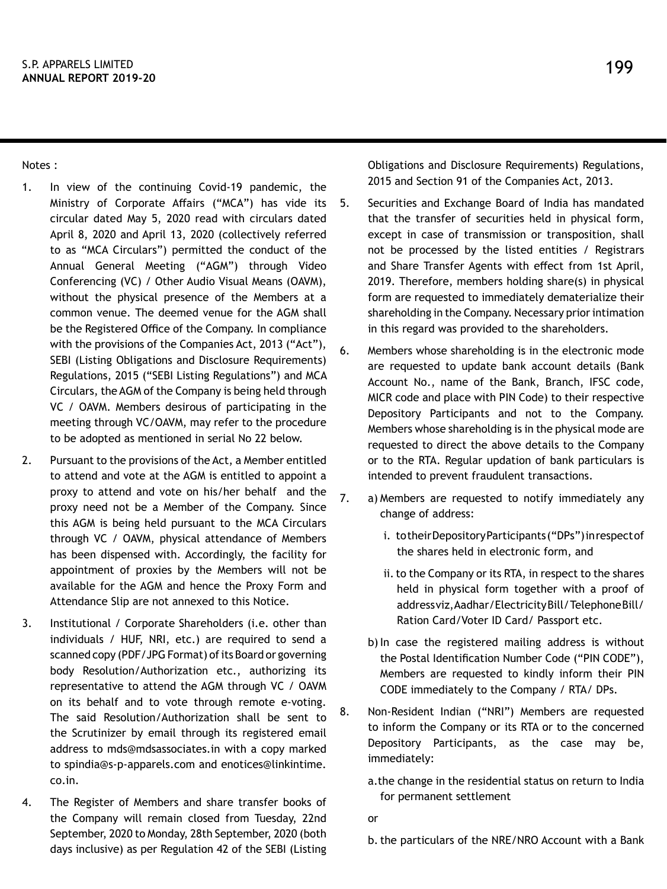Notes :

- 1. In view of the continuing Covid-19 pandemic, the Ministry of Corporate Affairs ("MCA") has vide its circular dated May 5, 2020 read with circulars dated April 8, 2020 and April 13, 2020 (collectively referred to as "MCA Circulars") permitted the conduct of the Annual General Meeting ("AGM") through Video Conferencing (VC) / Other Audio Visual Means (OAVM), without the physical presence of the Members at a common venue. The deemed venue for the AGM shall be the Registered Office of the Company. In compliance with the provisions of the Companies Act, 2013 ("Act"), SEBI (Listing Obligations and Disclosure Requirements) Regulations, 2015 ("SEBI Listing Regulations") and MCA Circulars, the AGM of the Company is being held through VC / OAVM. Members desirous of participating in the meeting through VC/OAVM, may refer to the procedure to be adopted as mentioned in serial No 22 below.
- 2. Pursuant to the provisions of the Act, a Member entitled to attend and vote at the AGM is entitled to appoint a proxy to attend and vote on his/her behalf and the proxy need not be a Member of the Company. Since this AGM is being held pursuant to the MCA Circulars through VC / OAVM, physical attendance of Members has been dispensed with. Accordingly, the facility for appointment of proxies by the Members will not be available for the AGM and hence the Proxy Form and Attendance Slip are not annexed to this Notice.
- 3. Institutional / Corporate Shareholders (i.e. other than individuals / HUF, NRI, etc.) are required to send a scanned copy (PDF/JPG Format) of its Board or governing body Resolution/Authorization etc., authorizing its representative to attend the AGM through VC / OAVM on its behalf and to vote through remote e-voting. The said Resolution/Authorization shall be sent to the Scrutinizer by email through its registered email address to mds@mdsassociates.in with a copy marked to spindia@s-p-apparels.com and enotices@linkintime. co.in.
- 4. The Register of Members and share transfer books of the Company will remain closed from Tuesday, 22nd September, 2020 to Monday, 28th September, 2020 (both days inclusive) as per Regulation 42 of the SEBI (Listing

Obligations and Disclosure Requirements) Regulations, 2015 and Section 91 of the Companies Act, 2013.

- 5. Securities and Exchange Board of India has mandated that the transfer of securities held in physical form, except in case of transmission or transposition, shall not be processed by the listed entities / Registrars and Share Transfer Agents with effect from 1st April, 2019. Therefore, members holding share(s) in physical form are requested to immediately dematerialize their shareholding in the Company. Necessary prior intimation in this regard was provided to the shareholders.
- 6. Members whose shareholding is in the electronic mode are requested to update bank account details (Bank Account No., name of the Bank, Branch, IFSC code, MICR code and place with PIN Code) to their respective Depository Participants and not to the Company. Members whose shareholding is in the physical mode are requested to direct the above details to the Company or to the RTA. Regular updation of bank particulars is intended to prevent fraudulent transactions.
- 7. a) Members are requested to notify immediately any change of address:
	- i. to their Depository Participants ("DPs") in respect of the shares held in electronic form, and
	- ii. to the Company or its RTA, in respect to the shares held in physical form together with a proof of address viz, Aadhar/Electricity Bill/ Telephone Bill/ Ration Card/Voter ID Card/ Passport etc.
	- b) In case the registered mailing address is without the Postal Identification Number Code ("PIN CODE"), Members are requested to kindly inform their PIN CODE immediately to the Company / RTA/ DPs.
- 8. Non-Resident Indian ("NRI") Members are requested to inform the Company or its RTA or to the concerned Depository Participants, as the case may be, immediately:
	- a.the change in the residential status on return to India for permanent settlement

or

b.the particulars of the NRE/NRO Account with a Bank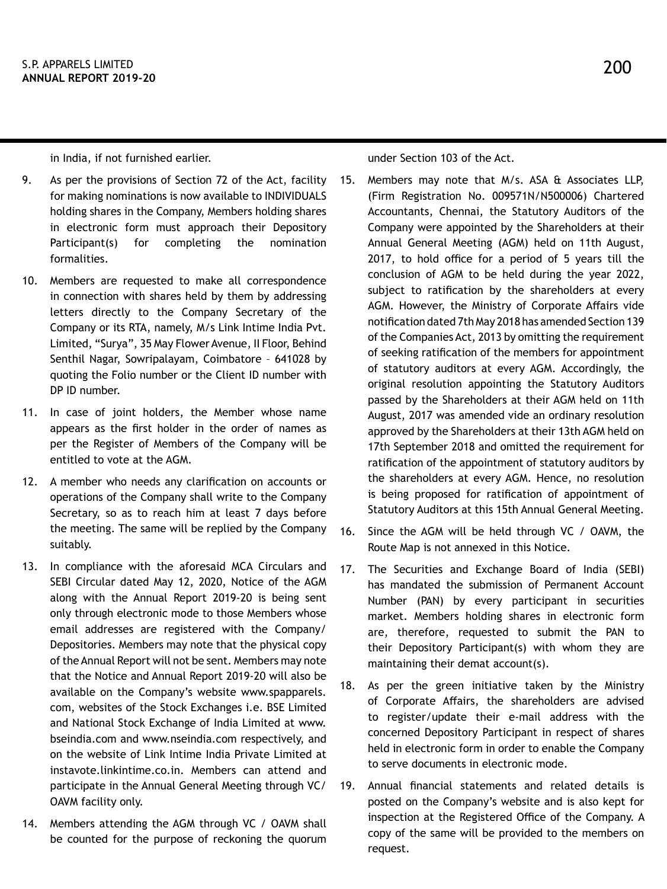in India, if not furnished earlier.

- 9. As per the provisions of Section 72 of the Act, facility for making nominations is now available to INDIVIDUALS holding shares in the Company, Members holding shares in electronic form must approach their Depository Participant(s) for completing the nomination formalities.
- 10. Members are requested to make all correspondence in connection with shares held by them by addressing letters directly to the Company Secretary of the Company or its RTA, namely, M/s Link Intime India Pvt. Limited, "Surya", 35 May Flower Avenue, II Floor, Behind Senthil Nagar, Sowripalayam, Coimbatore – 641028 by quoting the Folio number or the Client ID number with DP ID number.
- 11. In case of joint holders, the Member whose name appears as the first holder in the order of names as per the Register of Members of the Company will be entitled to vote at the AGM.
- 12. A member who needs any clarification on accounts or operations of the Company shall write to the Company Secretary, so as to reach him at least 7 days before the meeting. The same will be replied by the Company suitably.
- 13. In compliance with the aforesaid MCA Circulars and SEBI Circular dated May 12, 2020, Notice of the AGM along with the Annual Report 2019-20 is being sent only through electronic mode to those Members whose email addresses are registered with the Company/ Depositories. Members may note that the physical copy of the Annual Report will not be sent. Members may note that the Notice and Annual Report 2019-20 will also be available on the Company's website www.spapparels. com, websites of the Stock Exchanges i.e. BSE Limited and National Stock Exchange of India Limited at www. bseindia.com and www.nseindia.com respectively, and on the website of Link Intime India Private Limited at instavote.linkintime.co.in. Members can attend and participate in the Annual General Meeting through VC/ OAVM facility only.
- 14. Members attending the AGM through VC / OAVM shall be counted for the purpose of reckoning the quorum

under Section 103 of the Act.

- 15. Members may note that M/s. ASA & Associates LLP, (Firm Registration No. 009571N/N500006) Chartered Accountants, Chennai, the Statutory Auditors of the Company were appointed by the Shareholders at their Annual General Meeting (AGM) held on 11th August, 2017, to hold office for a period of 5 years till the conclusion of AGM to be held during the year 2022, subject to ratification by the shareholders at every AGM. However, the Ministry of Corporate Affairs vide notification dated 7th May 2018 has amended Section 139 of the Companies Act, 2013 by omitting the requirement of seeking ratification of the members for appointment of statutory auditors at every AGM. Accordingly, the original resolution appointing the Statutory Auditors passed by the Shareholders at their AGM held on 11th August, 2017 was amended vide an ordinary resolution approved by the Shareholders at their 13th AGM held on 17th September 2018 and omitted the requirement for ratification of the appointment of statutory auditors by the shareholders at every AGM. Hence, no resolution is being proposed for ratification of appointment of Statutory Auditors at this 15th Annual General Meeting.
- 16. Since the AGM will be held through VC / OAVM, the Route Map is not annexed in this Notice.
- 17. The Securities and Exchange Board of India (SEBI) has mandated the submission of Permanent Account Number (PAN) by every participant in securities market. Members holding shares in electronic form are, therefore, requested to submit the PAN to their Depository Participant(s) with whom they are maintaining their demat account(s).
- 18. As per the green initiative taken by the Ministry of Corporate Affairs, the shareholders are advised to register/update their e-mail address with the concerned Depository Participant in respect of shares held in electronic form in order to enable the Company to serve documents in electronic mode.
- 19. Annual financial statements and related details is posted on the Company's website and is also kept for inspection at the Registered Office of the Company. A copy of the same will be provided to the members on request.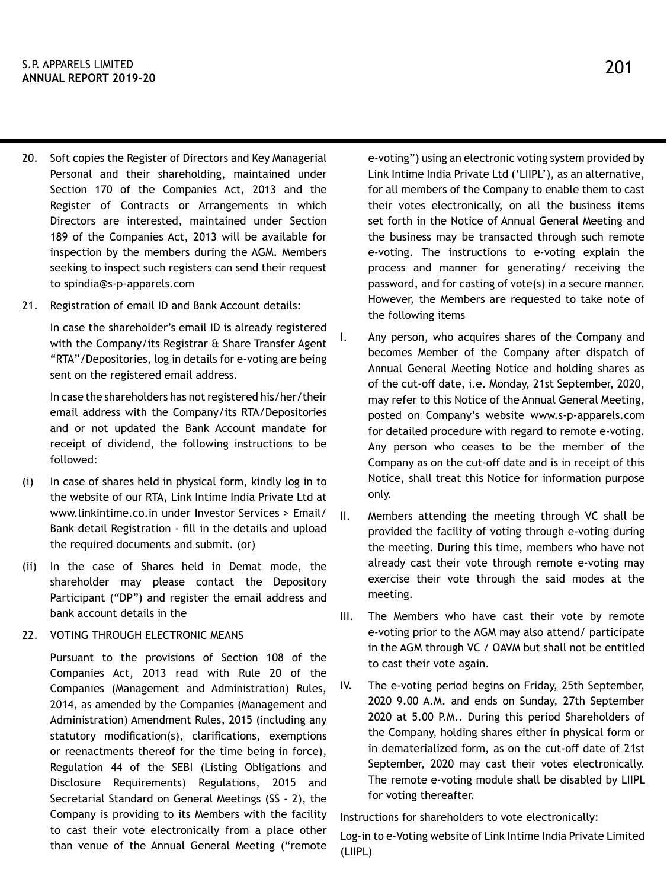- 20. Soft copies the Register of Directors and Key Managerial Personal and their shareholding, maintained under Section 170 of the Companies Act, 2013 and the Register of Contracts or Arrangements in which Directors are interested, maintained under Section 189 of the Companies Act, 2013 will be available for inspection by the members during the AGM. Members seeking to inspect such registers can send their request to spindia@s-p-apparels.com
- 21. Registration of email ID and Bank Account details:

In case the shareholder's email ID is already registered with the Company/its Registrar & Share Transfer Agent "RTA"/Depositories, log in details for e-voting are being sent on the registered email address.

In case the shareholders has not registered his/her/their email address with the Company/its RTA/Depositories and or not updated the Bank Account mandate for receipt of dividend, the following instructions to be followed:

- (i) In case of shares held in physical form, kindly log in to the website of our RTA, Link Intime India Private Ltd at www.linkintime.co.in under Investor Services > Email/ Bank detail Registration - fill in the details and upload the required documents and submit. (or)
- (ii) In the case of Shares held in Demat mode, the shareholder may please contact the Depository Participant ("DP") and register the email address and bank account details in the
- 22. VOTING THROUGH ELECTRONIC MEANS

Pursuant to the provisions of Section 108 of the Companies Act, 2013 read with Rule 20 of the Companies (Management and Administration) Rules, 2014, as amended by the Companies (Management and Administration) Amendment Rules, 2015 (including any statutory modification(s), clarifications, exemptions or reenactments thereof for the time being in force), Regulation 44 of the SEBI (Listing Obligations and Disclosure Requirements) Regulations, 2015 and Secretarial Standard on General Meetings (SS - 2), the Company is providing to its Members with the facility to cast their vote electronically from a place other than venue of the Annual General Meeting ("remote e-voting") using an electronic voting system provided by Link Intime India Private Ltd ('LIIPL'), as an alternative, for all members of the Company to enable them to cast their votes electronically, on all the business items set forth in the Notice of Annual General Meeting and the business may be transacted through such remote e-voting. The instructions to e-voting explain the process and manner for generating/ receiving the password, and for casting of vote(s) in a secure manner. However, the Members are requested to take note of the following items

- I. Any person, who acquires shares of the Company and becomes Member of the Company after dispatch of Annual General Meeting Notice and holding shares as of the cut-off date, i.e. Monday, 21st September, 2020, may refer to this Notice of the Annual General Meeting, posted on Company's website www.s-p-apparels.com for detailed procedure with regard to remote e-voting. Any person who ceases to be the member of the Company as on the cut-off date and is in receipt of this Notice, shall treat this Notice for information purpose only.
- II. Members attending the meeting through VC shall be provided the facility of voting through e-voting during the meeting. During this time, members who have not already cast their vote through remote e-voting may exercise their vote through the said modes at the meeting.
- III. The Members who have cast their vote by remote e-voting prior to the AGM may also attend/ participate in the AGM through VC / OAVM but shall not be entitled to cast their vote again.
- IV. The e-voting period begins on Friday, 25th September, 2020 9.00 A.M. and ends on Sunday, 27th September 2020 at 5.00 P.M.. During this period Shareholders of the Company, holding shares either in physical form or in dematerialized form, as on the cut-off date of 21st September, 2020 may cast their votes electronically. The remote e-voting module shall be disabled by LIIPL for voting thereafter.

Instructions for shareholders to vote electronically:

Log-in to e-Voting website of Link Intime India Private Limited (LIIPL)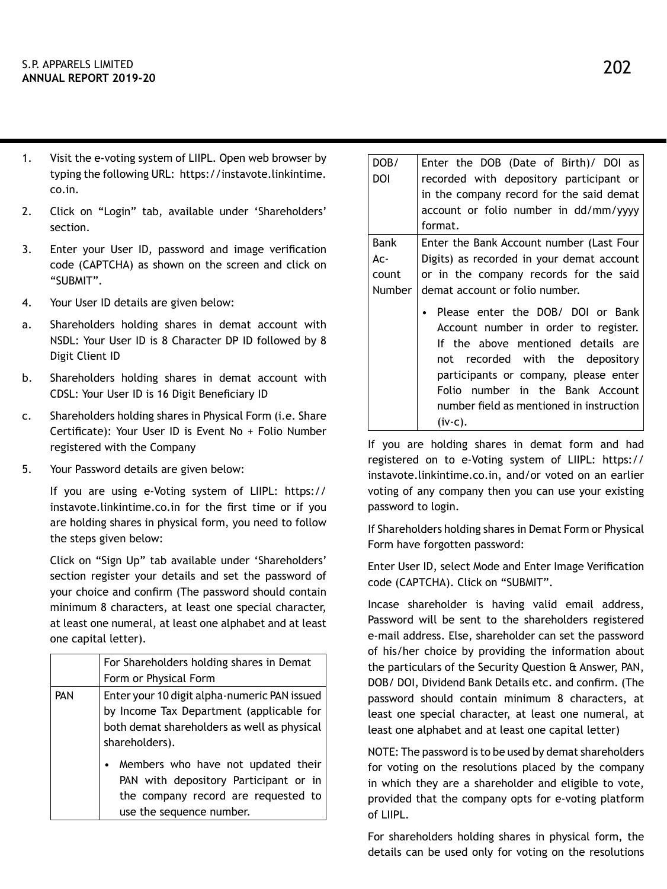- 1. Visit the e-voting system of LIIPL. Open web browser by typing the following URL: https://instavote.linkintime. co.in.
- 2. Click on "Login" tab, available under 'Shareholders' section.
- 3. Enter your User ID, password and image verification code (CAPTCHA) as shown on the screen and click on "SUBMIT".
- 4. Your User ID details are given below:
- a. Shareholders holding shares in demat account with NSDL: Your User ID is 8 Character DP ID followed by 8 Digit Client ID
- b. Shareholders holding shares in demat account with CDSL: Your User ID is 16 Digit Beneficiary ID
- c. Shareholders holding shares in Physical Form (i.e. Share Certificate): Your User ID is Event No + Folio Number registered with the Company
- 5. Your Password details are given below:

If you are using e-Voting system of LIIPL: https:// instavote.linkintime.co.in for the first time or if you are holding shares in physical form, you need to follow the steps given below:

Click on "Sign Up" tab available under 'Shareholders' section register your details and set the password of your choice and confirm (The password should contain minimum 8 characters, at least one special character, at least one numeral, at least one alphabet and at least one capital letter).

|            | For Shareholders holding shares in Demat                                                 |
|------------|------------------------------------------------------------------------------------------|
|            | Form or Physical Form                                                                    |
| <b>PAN</b> | Enter your 10 digit alpha-numeric PAN issued<br>by Income Tax Department (applicable for |
|            |                                                                                          |
|            | both demat shareholders as well as physical                                              |
|            | shareholders).                                                                           |
|            | Members who have not updated their                                                       |
|            | PAN with depository Participant or in                                                    |
|            | the company record are requested to                                                      |
|            | use the sequence number.                                                                 |

| DOB/   | Enter the DOB (Date of Birth)/ DOI as                                                                                                                                                                                            |
|--------|----------------------------------------------------------------------------------------------------------------------------------------------------------------------------------------------------------------------------------|
| DOI    | recorded with depository participant or                                                                                                                                                                                          |
|        | in the company record for the said demat                                                                                                                                                                                         |
|        | account or folio number in dd/mm/yyyy                                                                                                                                                                                            |
|        | format.                                                                                                                                                                                                                          |
| Bank   | Enter the Bank Account number (Last Four                                                                                                                                                                                         |
| Ac-    | Digits) as recorded in your demat account                                                                                                                                                                                        |
| count  | or in the company records for the said                                                                                                                                                                                           |
| Number | demat account or folio number.                                                                                                                                                                                                   |
|        | Please enter the DOB/ DOI or Bank<br>Account number in order to register.<br>If the above mentioned details are<br>not recorded with the depository<br>participants or company, please enter<br>Folio number in the Bank Account |
|        | number field as mentioned in instruction                                                                                                                                                                                         |
|        | $(iv-c)$ .                                                                                                                                                                                                                       |

If you are holding shares in demat form and had registered on to e-Voting system of LIIPL: https:// instavote.linkintime.co.in, and/or voted on an earlier voting of any company then you can use your existing password to login.

If Shareholders holding shares in Demat Form or Physical Form have forgotten password:

Enter User ID, select Mode and Enter Image Verification code (CAPTCHA). Click on "SUBMIT".

Incase shareholder is having valid email address, Password will be sent to the shareholders registered e-mail address. Else, shareholder can set the password of his/her choice by providing the information about the particulars of the Security Question & Answer, PAN, DOB/ DOI, Dividend Bank Details etc. and confirm. (The password should contain minimum 8 characters, at least one special character, at least one numeral, at least one alphabet and at least one capital letter)

NOTE: The password is to be used by demat shareholders for voting on the resolutions placed by the company in which they are a shareholder and eligible to vote, provided that the company opts for e-voting platform of LIIPL.

For shareholders holding shares in physical form, the details can be used only for voting on the resolutions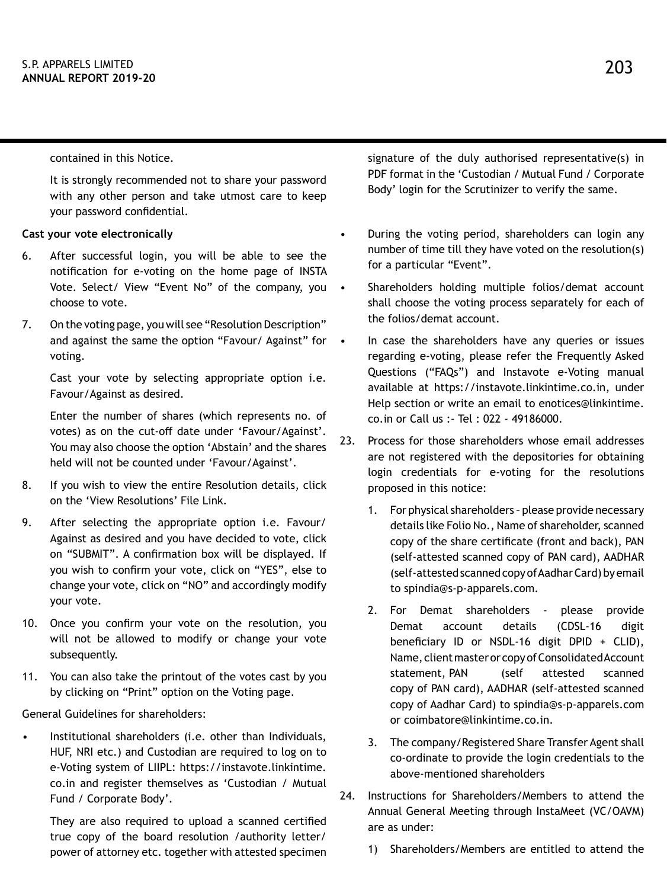contained in this Notice.

It is strongly recommended not to share your password with any other person and take utmost care to keep your password confidential.

#### **Cast your vote electronically**

- 6. After successful login, you will be able to see the notification for e-voting on the home page of INSTA Vote. Select/ View "Event No" of the company, you choose to vote.
- 7. On the voting page, you will see "Resolution Description" and against the same the option "Favour/ Against" for • voting.

Cast your vote by selecting appropriate option i.e. Favour/Against as desired.

Enter the number of shares (which represents no. of votes) as on the cut-off date under 'Favour/Against'. You may also choose the option 'Abstain' and the shares held will not be counted under 'Favour/Against'.

- 8. If you wish to view the entire Resolution details, click on the 'View Resolutions' File Link.
- 9. After selecting the appropriate option i.e. Favour/ Against as desired and you have decided to vote, click on "SUBMIT". A confirmation box will be displayed. If you wish to confirm your vote, click on "YES", else to change your vote, click on "NO" and accordingly modify your vote.
- 10. Once you confirm your vote on the resolution, you will not be allowed to modify or change your vote subsequently.
- 11. You can also take the printout of the votes cast by you by clicking on "Print" option on the Voting page.

General Guidelines for shareholders:

• Institutional shareholders (i.e. other than Individuals, HUF, NRI etc.) and Custodian are required to log on to e-Voting system of LIIPL: https://instavote.linkintime. co.in and register themselves as 'Custodian / Mutual Fund / Corporate Body'.

They are also required to upload a scanned certified true copy of the board resolution /authority letter/ power of attorney etc. together with attested specimen signature of the duly authorised representative(s) in PDF format in the 'Custodian / Mutual Fund / Corporate Body' login for the Scrutinizer to verify the same.

- During the voting period, shareholders can login any number of time till they have voted on the resolution(s) for a particular "Event".
- Shareholders holding multiple folios/demat account shall choose the voting process separately for each of the folios/demat account.
- In case the shareholders have any queries or issues regarding e-voting, please refer the Frequently Asked Questions ("FAQs") and Instavote e-Voting manual available at https://instavote.linkintime.co.in, under Help section or write an email to enotices@linkintime. co.in or Call us :- Tel : 022 - 49186000.
- 23. Process for those shareholders whose email addresses are not registered with the depositories for obtaining login credentials for e-voting for the resolutions proposed in this notice:
	- 1. For physical shareholders please provide necessary details like Folio No., Name of shareholder, scanned copy of the share certificate (front and back), PAN (self-attested scanned copy of PAN card), AADHAR (self-attested scanned copy of Aadhar Card) by email to spindia@s-p-apparels.com.
	- 2. For Demat shareholders please provide Demat account details (CDSL-16 digit beneficiary ID or NSDL-16 digit DPID + CLID), Name, client master or copy of Consolidated Account statement, PAN (self attested scanned copy of PAN card), AADHAR (self-attested scanned copy of Aadhar Card) to spindia@s-p-apparels.com or coimbatore@linkintime.co.in.
	- 3. The company/Registered Share Transfer Agent shall co-ordinate to provide the login credentials to the above-mentioned shareholders
- 24. Instructions for Shareholders/Members to attend the Annual General Meeting through InstaMeet (VC/OAVM) are as under:
	- 1) Shareholders/Members are entitled to attend the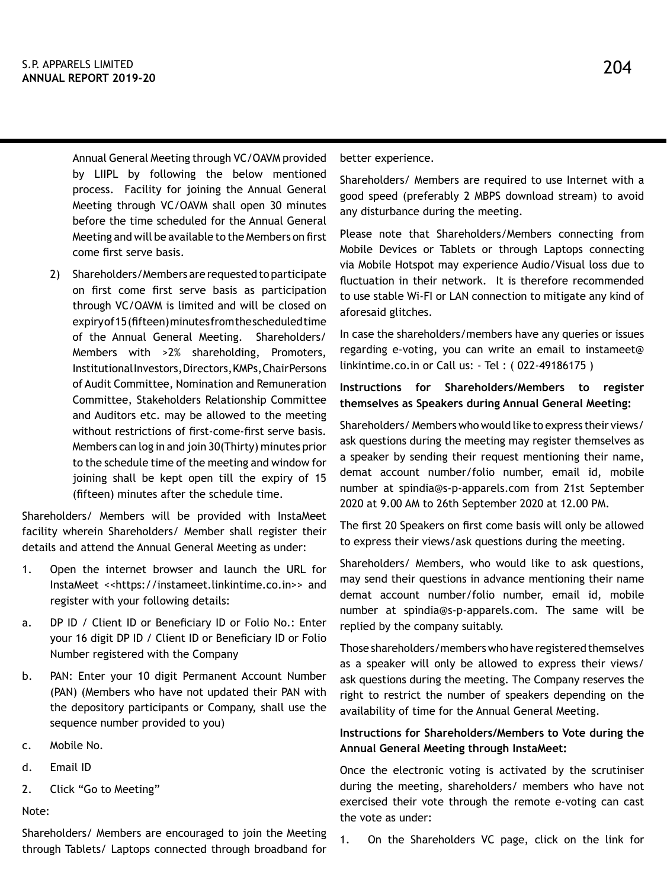204

Annual General Meeting through VC/OAVM provided by LIIPL by following the below mentioned process. Facility for joining the Annual General Meeting through VC/OAVM shall open 30 minutes before the time scheduled for the Annual General Meeting and will be available to the Members on first come first serve basis.

2) Shareholders/Members are requested to participate on first come first serve basis as participation through VC/OAVM is limited and will be closed on expiry of 15 (fifteen) minutes from the scheduled time of the Annual General Meeting. Shareholders/ Members with >2% shareholding, Promoters, Institutional Investors, Directors, KMPs, Chair Persons of Audit Committee, Nomination and Remuneration Committee, Stakeholders Relationship Committee and Auditors etc. may be allowed to the meeting without restrictions of first-come-first serve basis. Members can log in and join 30(Thirty) minutes prior to the schedule time of the meeting and window for joining shall be kept open till the expiry of 15 (fifteen) minutes after the schedule time.

Shareholders/ Members will be provided with InstaMeet facility wherein Shareholders/ Member shall register their details and attend the Annual General Meeting as under:

- 1. Open the internet browser and launch the URL for InstaMeet <<https://instameet.linkintime.co.in>> and register with your following details:
- a. DP ID / Client ID or Beneficiary ID or Folio No.: Enter your 16 digit DP ID / Client ID or Beneficiary ID or Folio Number registered with the Company
- b. PAN: Enter your 10 digit Permanent Account Number (PAN) (Members who have not updated their PAN with the depository participants or Company, shall use the sequence number provided to you)
- c. Mobile No.
- d. Email ID
- 2. Click "Go to Meeting"

Note:

Shareholders/ Members are encouraged to join the Meeting through Tablets/ Laptops connected through broadband for better experience.

Shareholders/ Members are required to use Internet with a good speed (preferably 2 MBPS download stream) to avoid any disturbance during the meeting.

Please note that Shareholders/Members connecting from Mobile Devices or Tablets or through Laptops connecting via Mobile Hotspot may experience Audio/Visual loss due to fluctuation in their network. It is therefore recommended to use stable Wi-FI or LAN connection to mitigate any kind of aforesaid glitches.

In case the shareholders/members have any queries or issues regarding e-voting, you can write an email to instameet@ linkintime.co.in or Call us: - Tel : ( 022-49186175 )

# **Instructions for Shareholders/Members to register themselves as Speakers during Annual General Meeting:**

Shareholders/ Members who would like to express their views/ ask questions during the meeting may register themselves as a speaker by sending their request mentioning their name, demat account number/folio number, email id, mobile number at spindia@s-p-apparels.com from 21st September 2020 at 9.00 AM to 26th September 2020 at 12.00 PM.

The first 20 Speakers on first come basis will only be allowed to express their views/ask questions during the meeting.

Shareholders/ Members, who would like to ask questions, may send their questions in advance mentioning their name demat account number/folio number, email id, mobile number at spindia@s-p-apparels.com. The same will be replied by the company suitably.

Those shareholders/members who have registered themselves as a speaker will only be allowed to express their views/ ask questions during the meeting. The Company reserves the right to restrict the number of speakers depending on the availability of time for the Annual General Meeting.

# **Instructions for Shareholders/Members to Vote during the Annual General Meeting through InstaMeet:**

Once the electronic voting is activated by the scrutiniser during the meeting, shareholders/ members who have not exercised their vote through the remote e-voting can cast the vote as under:

1. On the Shareholders VC page, click on the link for